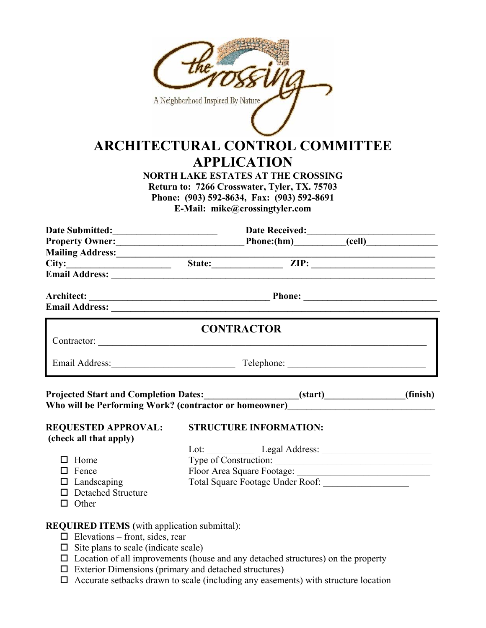|                                                                                                | A Neighborhood Inspired By Nature | <b>ARCHITECTURAL CONTROL COMMITTEE</b><br><b>APPLICATION</b><br><b>NORTH LAKE ESTATES AT THE CROSSING</b><br>Return to: 7266 Crosswater, Tyler, TX. 75703<br>Phone: (903) 592-8634, Fax: (903) 592-8691<br>E-Mail: mike@crossingtyler.com |                    |  |
|------------------------------------------------------------------------------------------------|-----------------------------------|-------------------------------------------------------------------------------------------------------------------------------------------------------------------------------------------------------------------------------------------|--------------------|--|
|                                                                                                |                                   |                                                                                                                                                                                                                                           |                    |  |
| Date Submitted: Date Received: Date Received: Community Owner: Date Received: Community Owner: |                                   |                                                                                                                                                                                                                                           |                    |  |
|                                                                                                |                                   |                                                                                                                                                                                                                                           |                    |  |
|                                                                                                |                                   |                                                                                                                                                                                                                                           |                    |  |
|                                                                                                |                                   |                                                                                                                                                                                                                                           |                    |  |
|                                                                                                |                                   |                                                                                                                                                                                                                                           |                    |  |
|                                                                                                |                                   |                                                                                                                                                                                                                                           |                    |  |
|                                                                                                |                                   | <b>CONTRACTOR</b>                                                                                                                                                                                                                         |                    |  |
| Email Address: Telephone: Telephone: Telephone: 2008.                                          |                                   |                                                                                                                                                                                                                                           |                    |  |
| Who will be Performing Work? (contractor or homeowner)__________________________               |                                   |                                                                                                                                                                                                                                           | $(start)$ (finish) |  |
|                                                                                                |                                   |                                                                                                                                                                                                                                           |                    |  |
| <b>REQUESTED APPROVAL:</b><br>(check all that apply)                                           |                                   | <b>STRUCTURE INFORMATION:</b>                                                                                                                                                                                                             |                    |  |
|                                                                                                |                                   |                                                                                                                                                                                                                                           |                    |  |
| $\Box$ Home                                                                                    |                                   |                                                                                                                                                                                                                                           |                    |  |
| $\Box$ Fence                                                                                   |                                   | Type of Construction:                                                                                                                                                                                                                     |                    |  |
| $\Box$ Landscaping                                                                             |                                   |                                                                                                                                                                                                                                           |                    |  |
| $\Box$ Detached Structure                                                                      |                                   |                                                                                                                                                                                                                                           |                    |  |
| $\Box$ Other                                                                                   |                                   |                                                                                                                                                                                                                                           |                    |  |
|                                                                                                |                                   |                                                                                                                                                                                                                                           |                    |  |
| <b>REQUIRED ITEMS</b> (with application submittal):<br>$\Box$ Elevations – front, sides, rear  |                                   |                                                                                                                                                                                                                                           |                    |  |
| $\Box$ Site plans to scale (indicate scale)                                                    |                                   |                                                                                                                                                                                                                                           |                    |  |
|                                                                                                |                                   |                                                                                                                                                                                                                                           |                    |  |

- $\square$  Location of all improvements (house and any detached structures) on the property
- Exterior Dimensions (primary and detached structures)
- $\Box$  Accurate setbacks drawn to scale (including any easements) with structure location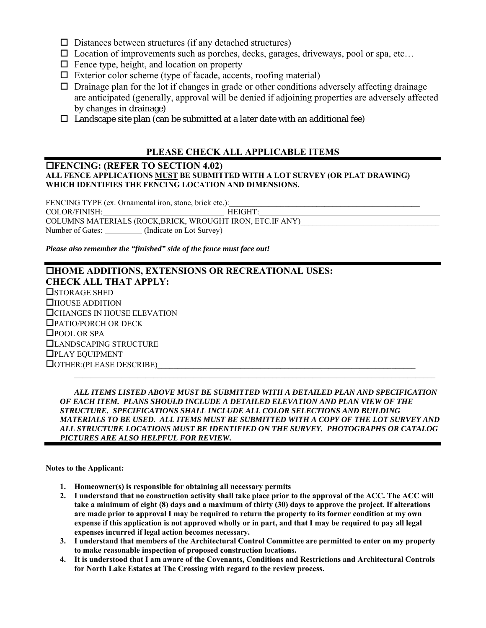- $\square$  Distances between structures (if any detached structures)
- $\square$  Location of improvements such as porches, decks, garages, driveways, pool or spa, etc...
- $\Box$  Fence type, height, and location on property
- $\Box$  Exterior color scheme (type of facade, accents, roofing material)
- $\Box$  Drainage plan for the lot if changes in grade or other conditions adversely affecting drainage are anticipated (generally, approval will be denied if adjoining properties are adversely affected by changes in drainage)
- $\Box$  Landscape site plan (can be submitted at a later date with an additional fee)

## **PLEASE CHECK ALL APPLICABLE ITEMS**

### **FENCING: (REFER TO SECTION 4.02) ALL FENCE APPLICATIONS MUST BE SUBMITTED WITH A LOT SURVEY (OR PLAT DRAWING) WHICH IDENTIFIES THE FENCING LOCATION AND DIMENSIONS.**

FENCING TYPE (ex. Ornamental iron, stone, brick etc.): COLOR/FINISH: HEIGHT: COLUMNS MATERIALS (ROCK,BRICK, WROUGHT IRON, ETC.IF ANY) Number of Gates: \_\_\_\_\_\_\_\_\_ (Indicate on Lot Survey)

*Please also remember the "finished" side of the fence must face out!* 

## **HOME ADDITIONS, EXTENSIONS OR RECREATIONAL USES: CHECK ALL THAT APPLY: OSTORAGE SHED** HOUSE ADDITION CHANGES IN HOUSE ELEVATION PATIO/PORCH OR DECK □POOL OR SPA LANDSCAPING STRUCTURE PLAY EQUIPMENT  $\Box$  OTHER:(PLEASE DESCRIBE)  $\mathcal{L}_\mathcal{L} = \mathcal{L}_\mathcal{L}$

 *ALL ITEMS LISTED ABOVE MUST BE SUBMITTED WITH A DETAILED PLAN AND SPECIFICATION OF EACH ITEM. PLANS SHOULD INCLUDE A DETAILED ELEVATION AND PLAN VIEW OF THE STRUCTURE. SPECIFICATIONS SHALL INCLUDE ALL COLOR SELECTIONS AND BUILDING MATERIALS TO BE USED. ALL ITEMS MUST BE SUBMITTED WITH A COPY OF THE LOT SURVEY AND ALL STRUCTURE LOCATIONS MUST BE IDENTIFIED ON THE SURVEY. PHOTOGRAPHS OR CATALOG PICTURES ARE ALSO HELPFUL FOR REVIEW.* 

**Notes to the Applicant:** 

- **1. Homeowner(s) is responsible for obtaining all necessary permits**
- **2. I understand that no construction activity shall take place prior to the approval of the ACC. The ACC will take a minimum of eight (8) days and a maximum of thirty (30) days to approve the project. If alterations are made prior to approval I may be required to return the property to its former condition at my own expense if this application is not approved wholly or in part, and that I may be required to pay all legal expenses incurred if legal action becomes necessary.**
- **3. I understand that members of the Architectural Control Committee are permitted to enter on my property to make reasonable inspection of proposed construction locations.**
- **4. It is understood that I am aware of the Covenants, Conditions and Restrictions and Architectural Controls for North Lake Estates at The Crossing with regard to the review process.**